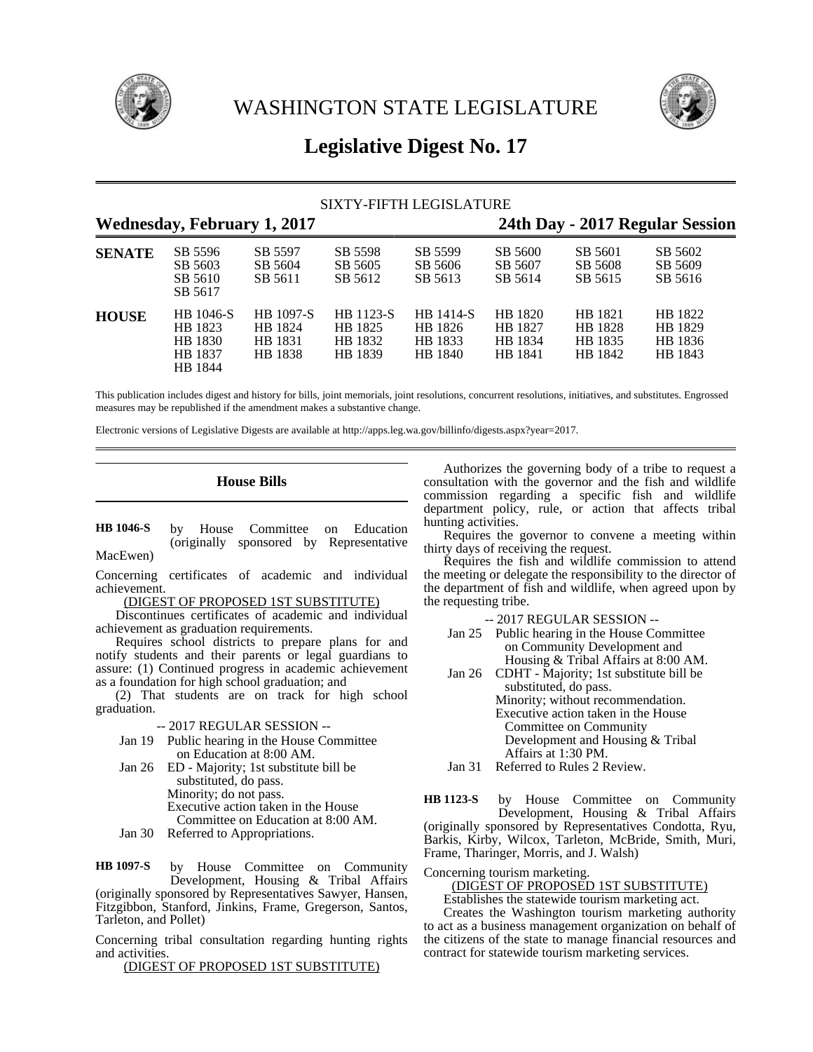



# **Legislative Digest No. 17**

| SIXTY-FIFTH LEGISLATURE            |                                                       |                                                   |                                            |                                            |                                          |                                          |                                          |  |
|------------------------------------|-------------------------------------------------------|---------------------------------------------------|--------------------------------------------|--------------------------------------------|------------------------------------------|------------------------------------------|------------------------------------------|--|
| <b>Wednesday, February 1, 2017</b> |                                                       |                                                   |                                            |                                            | 24th Day - 2017 Regular Session          |                                          |                                          |  |
| <b>SENATE</b>                      | SB 5596<br>SB 5603<br>SB 5610<br>SB 5617              | SB 5597<br>SB 5604<br>SB 5611                     | SB 5598<br>SB 5605<br>SB 5612              | SB 5599<br>SB 5606<br>SB 5613              | SB 5600<br>SB 5607<br>SB 5614            | SB 5601<br>SB 5608<br>SB 5615            | SB 5602<br>SB 5609<br>SB 5616            |  |
| <b>HOUSE</b>                       | HB 1046-S<br>HB 1823<br>HB 1830<br>HB 1837<br>HB 1844 | <b>HB</b> 1097-S<br>HB 1824<br>HB 1831<br>HB 1838 | HB 1123-S<br>HB 1825<br>HB 1832<br>HB 1839 | HB 1414-S<br>HB 1826<br>HB 1833<br>HB 1840 | HB 1820<br>HB 1827<br>HB 1834<br>HB 1841 | HB 1821<br>HB 1828<br>HB 1835<br>HB 1842 | HB 1822<br>HB 1829<br>HB 1836<br>HB 1843 |  |

This publication includes digest and history for bills, joint memorials, joint resolutions, concurrent resolutions, initiatives, and substitutes. Engrossed measures may be republished if the amendment makes a substantive change.

Electronic versions of Legislative Digests are available at http://apps.leg.wa.gov/billinfo/digests.aspx?year=2017.

# **House Bills**

by House Committee on Education (originally sponsored by Representative MacEwen) **HB 1046-S**

Concerning certificates of academic and individual achievement.

(DIGEST OF PROPOSED 1ST SUBSTITUTE)

Discontinues certificates of academic and individual achievement as graduation requirements.

Requires school districts to prepare plans for and notify students and their parents or legal guardians to assure: (1) Continued progress in academic achievement as a foundation for high school graduation; and

(2) That students are on track for high school graduation.

-- 2017 REGULAR SESSION --

- Jan 19 Public hearing in the House Committee on Education at 8:00 AM.
- Jan 26 ED Majority; 1st substitute bill be substituted, do pass. Minority; do not pass. Executive action taken in the House Committee on Education at 8:00 AM.
- Jan 30 Referred to Appropriations.

by House Committee on Community Development, Housing & Tribal Affairs (originally sponsored by Representatives Sawyer, Hansen, Fitzgibbon, Stanford, Jinkins, Frame, Gregerson, Santos, Tarleton, and Pollet) **HB 1097-S**

Concerning tribal consultation regarding hunting rights and activities.

(DIGEST OF PROPOSED 1ST SUBSTITUTE)

Authorizes the governing body of a tribe to request a consultation with the governor and the fish and wildlife commission regarding a specific fish and wildlife department policy, rule, or action that affects tribal hunting activities.

Requires the governor to convene a meeting within thirty days of receiving the request.

Requires the fish and wildlife commission to attend the meeting or delegate the responsibility to the director of the department of fish and wildlife, when agreed upon by the requesting tribe.

-- 2017 REGULAR SESSION --

- Jan 25 Public hearing in the House Committee on Community Development and Housing & Tribal Affairs at 8:00 AM.
- Jan 26 CDHT Majority; 1st substitute bill be substituted, do pass. Minority; without recommendation.

Executive action taken in the House Committee on Community Development and Housing & Tribal Affairs at 1:30 PM.

Jan 31 Referred to Rules 2 Review.

by House Committee on Community Development, Housing & Tribal Affairs (originally sponsored by Representatives Condotta, Ryu, Barkis, Kirby, Wilcox, Tarleton, McBride, Smith, Muri, Frame, Tharinger, Morris, and J. Walsh) **HB 1123-S**

### Concerning tourism marketing.

(DIGEST OF PROPOSED 1ST SUBSTITUTE)

Establishes the statewide tourism marketing act.

Creates the Washington tourism marketing authority to act as a business management organization on behalf of the citizens of the state to manage financial resources and contract for statewide tourism marketing services.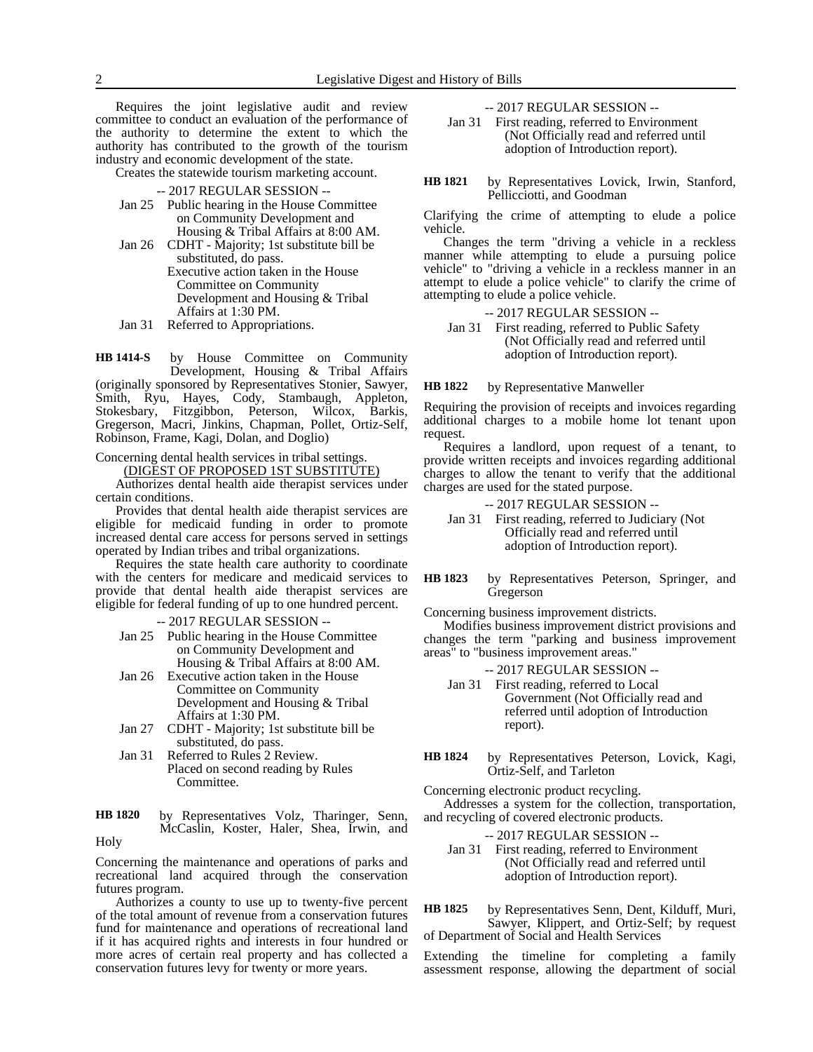Requires the joint legislative audit and review committee to conduct an evaluation of the performance of the authority to determine the extent to which the authority has contributed to the growth of the tourism industry and economic development of the state.

Creates the statewide tourism marketing account.

-- 2017 REGULAR SESSION --

- Jan 25 Public hearing in the House Committee on Community Development and
- Housing & Tribal Affairs at 8:00 AM. Jan 26 CDHT - Majority; 1st substitute bill be substituted, do pass.
	- Executive action taken in the House Committee on Community Development and Housing & Tribal Affairs at 1:30 PM.
- Jan 31 Referred to Appropriations.

by House Committee on Community Development, Housing & Tribal Affairs (originally sponsored by Representatives Stonier, Sawyer, Smith, Ryu, Hayes, Cody, Stambaugh, Appleton, Stokesbary, Fitzgibbon, Peterson, Wilcox, Barkis, Gregerson, Macri, Jinkins, Chapman, Pollet, Ortiz-Self, Robinson, Frame, Kagi, Dolan, and Doglio) **HB 1414-S**

Concerning dental health services in tribal settings.

(DIGEST OF PROPOSED 1ST SUBSTITUTE)

Authorizes dental health aide therapist services under certain conditions.

Provides that dental health aide therapist services are eligible for medicaid funding in order to promote increased dental care access for persons served in settings operated by Indian tribes and tribal organizations.

Requires the state health care authority to coordinate with the centers for medicare and medicaid services to provide that dental health aide therapist services are eligible for federal funding of up to one hundred percent.

-- 2017 REGULAR SESSION --

- Jan 25 Public hearing in the House Committee on Community Development and Housing & Tribal Affairs at 8:00 AM.
- Jan 26 Executive action taken in the House Committee on Community Development and Housing & Tribal Affairs at 1:30 PM.
- Jan 27 CDHT Majority; 1st substitute bill be substituted, do pass.
- Jan 31 Referred to Rules 2 Review. Placed on second reading by Rules Committee.
- by Representatives Volz, Tharinger, Senn, McCaslin, Koster, Haler, Shea, Irwin, and Holy **HB 1820**

Concerning the maintenance and operations of parks and recreational land acquired through the conservation futures program.

Authorizes a county to use up to twenty-five percent of the total amount of revenue from a conservation futures fund for maintenance and operations of recreational land if it has acquired rights and interests in four hundred or more acres of certain real property and has collected a conservation futures levy for twenty or more years.

-- 2017 REGULAR SESSION --

Jan 31 First reading, referred to Environment (Not Officially read and referred until adoption of Introduction report).

by Representatives Lovick, Irwin, Stanford, Pellicciotti, and Goodman **HB 1821**

Clarifying the crime of attempting to elude a police vehicle.

Changes the term "driving a vehicle in a reckless manner while attempting to elude a pursuing police vehicle" to "driving a vehicle in a reckless manner in an attempt to elude a police vehicle" to clarify the crime of attempting to elude a police vehicle.

-- 2017 REGULAR SESSION --

Jan 31 First reading, referred to Public Safety (Not Officially read and referred until adoption of Introduction report).

by Representative Manweller **HB 1822**

Requiring the provision of receipts and invoices regarding additional charges to a mobile home lot tenant upon request.

Requires a landlord, upon request of a tenant, to provide written receipts and invoices regarding additional charges to allow the tenant to verify that the additional charges are used for the stated purpose.

-- 2017 REGULAR SESSION --

- Jan 31 First reading, referred to Judiciary (Not Officially read and referred until adoption of Introduction report).
- by Representatives Peterson, Springer, and Gregerson **HB 1823**

Concerning business improvement districts.

Modifies business improvement district provisions and changes the term "parking and business improvement areas" to "business improvement areas."

- -- 2017 REGULAR SESSION --
- Jan 31 First reading, referred to Local Government (Not Officially read and referred until adoption of Introduction report).
- by Representatives Peterson, Lovick, Kagi, Ortiz-Self, and Tarleton **HB 1824**

Concerning electronic product recycling.

Addresses a system for the collection, transportation, and recycling of covered electronic products.

-- 2017 REGULAR SESSION --

Jan 31 First reading, referred to Environment (Not Officially read and referred until adoption of Introduction report).

by Representatives Senn, Dent, Kilduff, Muri, Sawyer, Klippert, and Ortiz-Self; by request of Department of Social and Health Services **HB 1825**

Extending the timeline for completing a family assessment response, allowing the department of social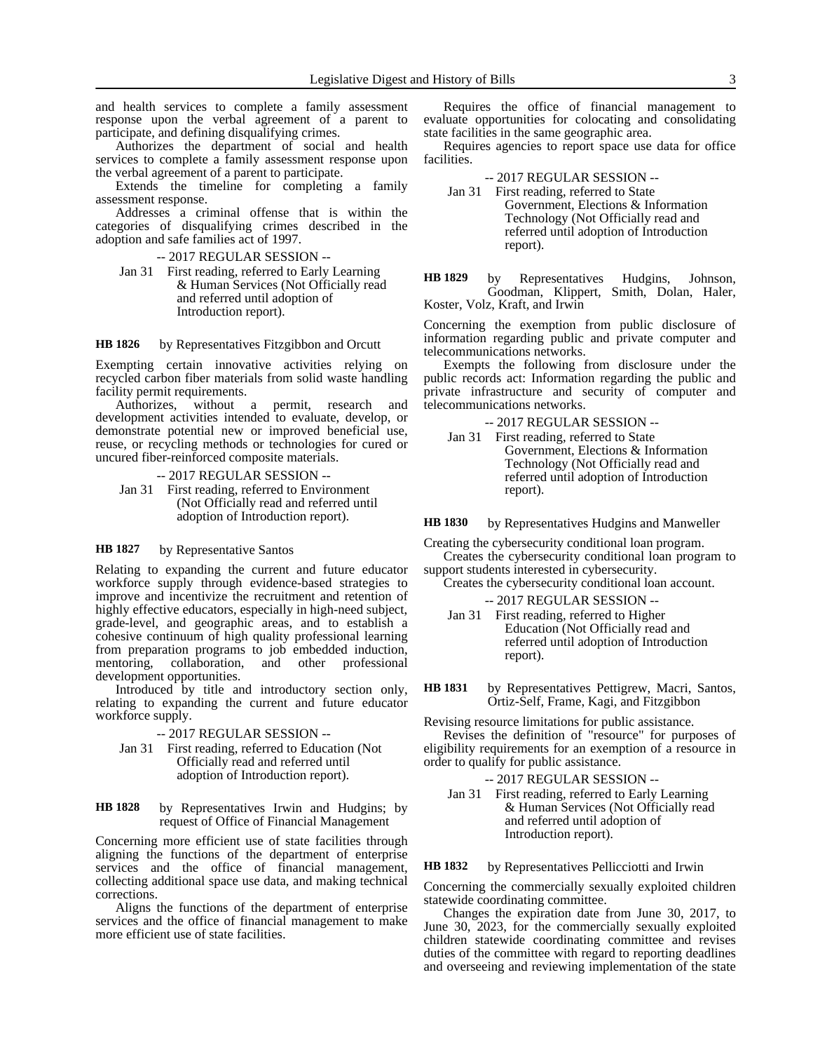and health services to complete a family assessment response upon the verbal agreement of a parent to participate, and defining disqualifying crimes.

Authorizes the department of social and health services to complete a family assessment response upon the verbal agreement of a parent to participate.

Extends the timeline for completing a family assessment response.

Addresses a criminal offense that is within the categories of disqualifying crimes described in the adoption and safe families act of 1997.

-- 2017 REGULAR SESSION --

Jan 31 First reading, referred to Early Learning & Human Services (Not Officially read and referred until adoption of Introduction report).

by Representatives Fitzgibbon and Orcutt **HB 1826**

Exempting certain innovative activities relying on recycled carbon fiber materials from solid waste handling facility permit requirements.

Authorizes, without a permit, research and development activities intended to evaluate, develop, or demonstrate potential new or improved beneficial use, reuse, or recycling methods or technologies for cured or uncured fiber-reinforced composite materials.

-- 2017 REGULAR SESSION -- Jan 31 First reading, referred to Environment (Not Officially read and referred until adoption of Introduction report).

#### by Representative Santos **HB 1827**

Relating to expanding the current and future educator workforce supply through evidence-based strategies to improve and incentivize the recruitment and retention of highly effective educators, especially in high-need subject, grade-level, and geographic areas, and to establish a cohesive continuum of high quality professional learning from preparation programs to job embedded induction, mentoring, collaboration, and other professional development opportunities.

Introduced by title and introductory section only, relating to expanding the current and future educator workforce supply.

-- 2017 REGULAR SESSION --

Jan 31 First reading, referred to Education (Not Officially read and referred until adoption of Introduction report).

by Representatives Irwin and Hudgins; by request of Office of Financial Management **HB 1828**

Concerning more efficient use of state facilities through aligning the functions of the department of enterprise services and the office of financial management, collecting additional space use data, and making technical corrections.

Aligns the functions of the department of enterprise services and the office of financial management to make more efficient use of state facilities.

Requires the office of financial management to evaluate opportunities for colocating and consolidating state facilities in the same geographic area.

Requires agencies to report space use data for office facilities.

-- 2017 REGULAR SESSION --

Jan 31 First reading, referred to State Government, Elections & Information Technology (Not Officially read and referred until adoption of Introduction report).

by Representatives Hudgins, Johnson, Goodman, Klippert, Smith, Dolan, Haler, Koster, Volz, Kraft, and Irwin **HB 1829**

Concerning the exemption from public disclosure of information regarding public and private computer and telecommunications networks.

Exempts the following from disclosure under the public records act: Information regarding the public and private infrastructure and security of computer and telecommunications networks.

-- 2017 REGULAR SESSION --

Jan 31 First reading, referred to State Government, Elections & Information Technology (Not Officially read and referred until adoption of Introduction report).

by Representatives Hudgins and Manweller **HB 1830**

Creating the cybersecurity conditional loan program. Creates the cybersecurity conditional loan program to support students interested in cybersecurity.

Creates the cybersecurity conditional loan account.

-- 2017 REGULAR SESSION --

Jan 31 First reading, referred to Higher Education (Not Officially read and referred until adoption of Introduction report).

by Representatives Pettigrew, Macri, Santos, Ortiz-Self, Frame, Kagi, and Fitzgibbon **HB 1831**

Revising resource limitations for public assistance. Revises the definition of "resource" for purposes of eligibility requirements for an exemption of a resource in order to qualify for public assistance.

-- 2017 REGULAR SESSION --

Jan 31 First reading, referred to Early Learning & Human Services (Not Officially read and referred until adoption of Introduction report).

by Representatives Pellicciotti and Irwin **HB 1832**

Concerning the commercially sexually exploited children statewide coordinating committee.

Changes the expiration date from June 30, 2017, to June 30, 2023, for the commercially sexually exploited children statewide coordinating committee and revises duties of the committee with regard to reporting deadlines and overseeing and reviewing implementation of the state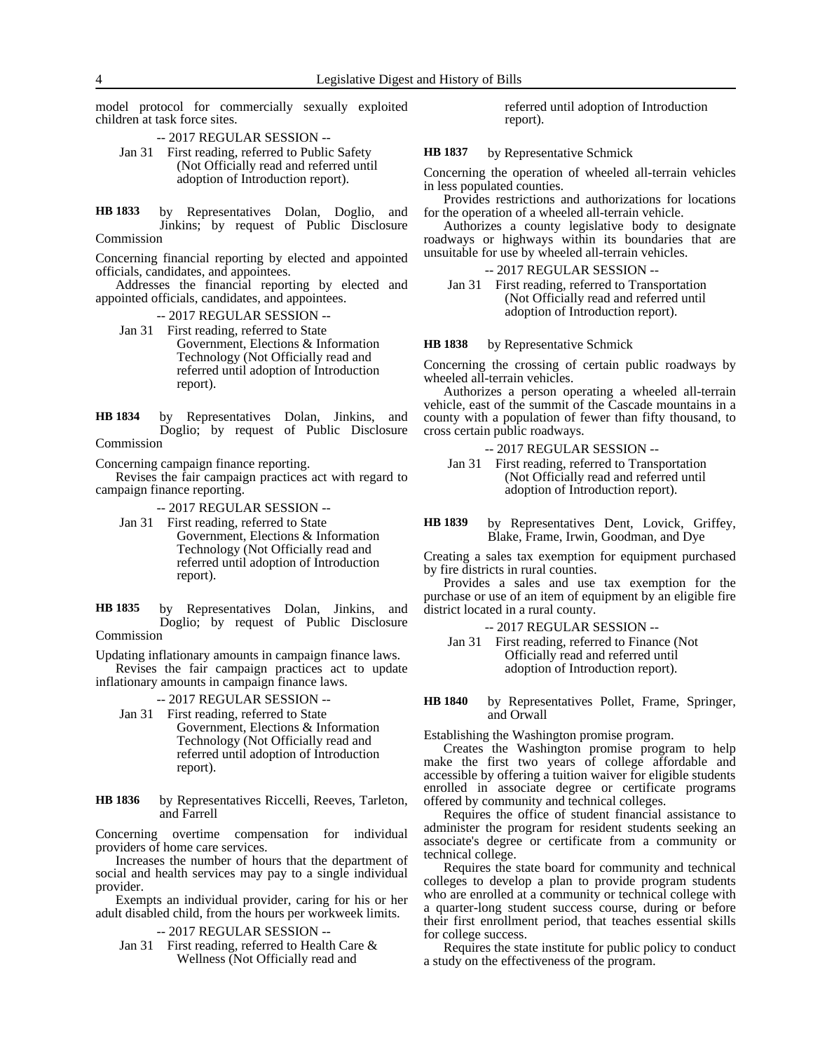model protocol for commercially sexually exploited children at task force sites.

-- 2017 REGULAR SESSION -- Jan 31 First reading, referred to Public Safety

(Not Officially read and referred until adoption of Introduction report).

by Representatives Dolan, Doglio, and Jinkins; by request of Public Disclosure Commission **HB 1833**

Concerning financial reporting by elected and appointed officials, candidates, and appointees.

Addresses the financial reporting by elected and appointed officials, candidates, and appointees.

-- 2017 REGULAR SESSION --

Jan 31 First reading, referred to State Government, Elections & Information Technology (Not Officially read and referred until adoption of Introduction report).

by Representatives Dolan, Jinkins, and Doglio; by request of Public Disclosure Commission **HB 1834**

Concerning campaign finance reporting.

Revises the fair campaign practices act with regard to campaign finance reporting.

-- 2017 REGULAR SESSION --

Jan 31 First reading, referred to State

Government, Elections & Information Technology (Not Officially read and referred until adoption of Introduction report).

by Representatives Dolan, Jinkins, and Doglio; by request of Public Disclosure Commission **HB 1835**

Updating inflationary amounts in campaign finance laws. Revises the fair campaign practices act to update

inflationary amounts in campaign finance laws.

-- 2017 REGULAR SESSION --

Jan 31 First reading, referred to State Government, Elections & Information Technology (Not Officially read and referred until adoption of Introduction report).

by Representatives Riccelli, Reeves, Tarleton, and Farrell **HB 1836**

Concerning overtime compensation for individual providers of home care services.

Increases the number of hours that the department of social and health services may pay to a single individual provider.

Exempts an individual provider, caring for his or her adult disabled child, from the hours per workweek limits.

-- 2017 REGULAR SESSION --

Jan 31 First reading, referred to Health Care & Wellness (Not Officially read and

referred until adoption of Introduction report).

by Representative Schmick **HB 1837**

Concerning the operation of wheeled all-terrain vehicles in less populated counties.

Provides restrictions and authorizations for locations for the operation of a wheeled all-terrain vehicle.

Authorizes a county legislative body to designate roadways or highways within its boundaries that are unsuitable for use by wheeled all-terrain vehicles.

-- 2017 REGULAR SESSION --

Jan 31 First reading, referred to Transportation (Not Officially read and referred until adoption of Introduction report).

by Representative Schmick **HB 1838**

Concerning the crossing of certain public roadways by wheeled all-terrain vehicles.

Authorizes a person operating a wheeled all-terrain vehicle, east of the summit of the Cascade mountains in a county with a population of fewer than fifty thousand, to cross certain public roadways.

### -- 2017 REGULAR SESSION --

Jan 31 First reading, referred to Transportation (Not Officially read and referred until adoption of Introduction report).

by Representatives Dent, Lovick, Griffey, Blake, Frame, Irwin, Goodman, and Dye **HB 1839**

Creating a sales tax exemption for equipment purchased by fire districts in rural counties.

Provides a sales and use tax exemption for the purchase or use of an item of equipment by an eligible fire district located in a rural county.

-- 2017 REGULAR SESSION --

Jan 31 First reading, referred to Finance (Not Officially read and referred until adoption of Introduction report).

by Representatives Pollet, Frame, Springer, and Orwall **HB 1840**

Establishing the Washington promise program.

Creates the Washington promise program to help make the first two years of college affordable and accessible by offering a tuition waiver for eligible students enrolled in associate degree or certificate programs offered by community and technical colleges.

Requires the office of student financial assistance to administer the program for resident students seeking an associate's degree or certificate from a community or technical college.

Requires the state board for community and technical colleges to develop a plan to provide program students who are enrolled at a community or technical college with a quarter-long student success course, during or before their first enrollment period, that teaches essential skills for college success.

Requires the state institute for public policy to conduct a study on the effectiveness of the program.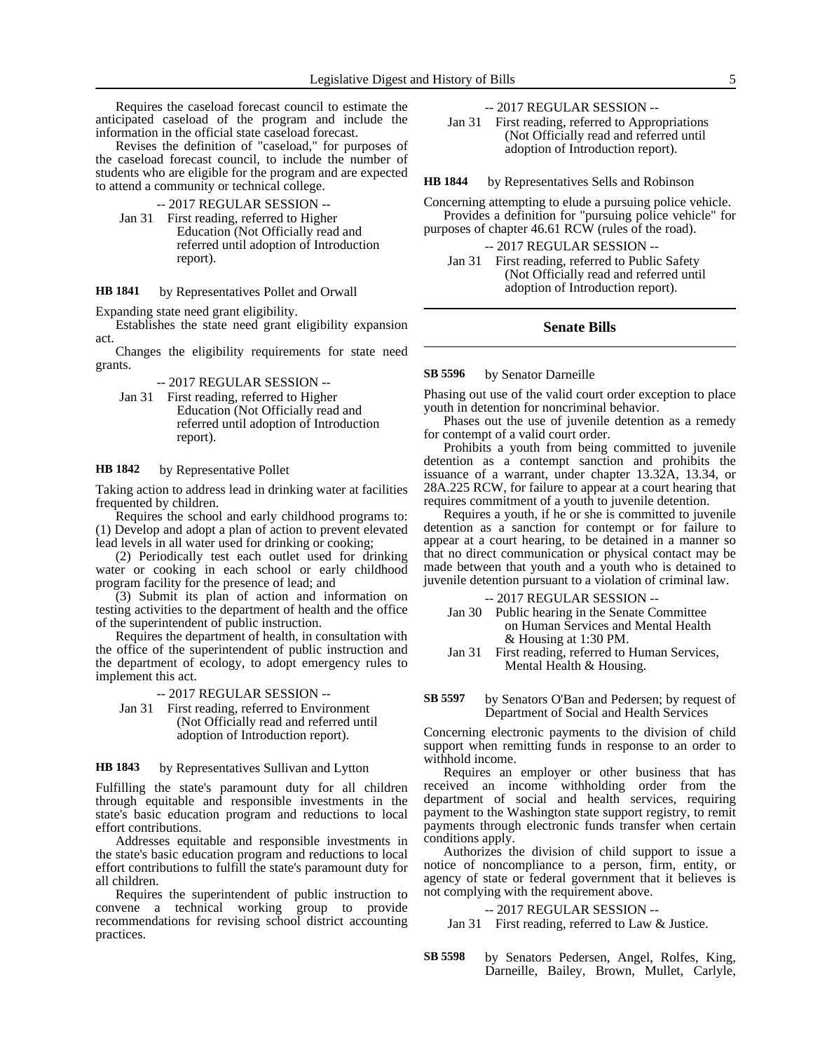Requires the caseload forecast council to estimate the anticipated caseload of the program and include the information in the official state caseload forecast.

Revises the definition of "caseload," for purposes of the caseload forecast council, to include the number of students who are eligible for the program and are expected to attend a community or technical college.

-- 2017 REGULAR SESSION --

Jan 31 First reading, referred to Higher Education (Not Officially read and referred until adoption of Introduction report).

by Representatives Pollet and Orwall **HB 1841**

Expanding state need grant eligibility.

Establishes the state need grant eligibility expansion act.

Changes the eligibility requirements for state need grants.

-- 2017 REGULAR SESSION --

Jan 31 First reading, referred to Higher Education (Not Officially read and referred until adoption of Introduction report).

by Representative Pollet **HB 1842**

Taking action to address lead in drinking water at facilities frequented by children.

Requires the school and early childhood programs to: (1) Develop and adopt a plan of action to prevent elevated lead levels in all water used for drinking or cooking;

(2) Periodically test each outlet used for drinking water or cooking in each school or early childhood program facility for the presence of lead; and

(3) Submit its plan of action and information on testing activities to the department of health and the office of the superintendent of public instruction.

Requires the department of health, in consultation with the office of the superintendent of public instruction and the department of ecology, to adopt emergency rules to implement this act.

-- 2017 REGULAR SESSION --

Jan 31 First reading, referred to Environment (Not Officially read and referred until adoption of Introduction report).

by Representatives Sullivan and Lytton **HB 1843**

Fulfilling the state's paramount duty for all children through equitable and responsible investments in the state's basic education program and reductions to local effort contributions.

Addresses equitable and responsible investments in the state's basic education program and reductions to local effort contributions to fulfill the state's paramount duty for all children.

Requires the superintendent of public instruction to convene a technical working group to provide recommendations for revising school district accounting practices.

-- 2017 REGULAR SESSION --

Jan 31 First reading, referred to Appropriations (Not Officially read and referred until adoption of Introduction report).

by Representatives Sells and Robinson **HB 1844**

Concerning attempting to elude a pursuing police vehicle. Provides a definition for "pursuing police vehicle" for purposes of chapter 46.61 RCW (rules of the road).

-- 2017 REGULAR SESSION --

Jan 31 First reading, referred to Public Safety (Not Officially read and referred until adoption of Introduction report).

## **Senate Bills**

#### by Senator Darneille **SB 5596**

Phasing out use of the valid court order exception to place youth in detention for noncriminal behavior.

Phases out the use of juvenile detention as a remedy for contempt of a valid court order.

Prohibits a youth from being committed to juvenile detention as a contempt sanction and prohibits the issuance of a warrant, under chapter 13.32A, 13.34, or 28A.225 RCW, for failure to appear at a court hearing that requires commitment of a youth to juvenile detention.

Requires a youth, if he or she is committed to juvenile detention as a sanction for contempt or for failure to appear at a court hearing, to be detained in a manner so that no direct communication or physical contact may be made between that youth and a youth who is detained to juvenile detention pursuant to a violation of criminal law.

-- 2017 REGULAR SESSION --

- Jan 30 Public hearing in the Senate Committee on Human Services and Mental Health & Housing at 1:30 PM.
- Jan 31 First reading, referred to Human Services, Mental Health & Housing.

#### by Senators O'Ban and Pedersen; by request of Department of Social and Health Services **SB 5597**

Concerning electronic payments to the division of child support when remitting funds in response to an order to withhold income.

Requires an employer or other business that has received an income withholding order from the department of social and health services, requiring payment to the Washington state support registry, to remit payments through electronic funds transfer when certain conditions apply.

Authorizes the division of child support to issue a notice of noncompliance to a person, firm, entity, or agency of state or federal government that it believes is not complying with the requirement above.

### -- 2017 REGULAR SESSION --

Jan 31 First reading, referred to Law & Justice.

by Senators Pedersen, Angel, Rolfes, King, Darneille, Bailey, Brown, Mullet, Carlyle, **SB 5598**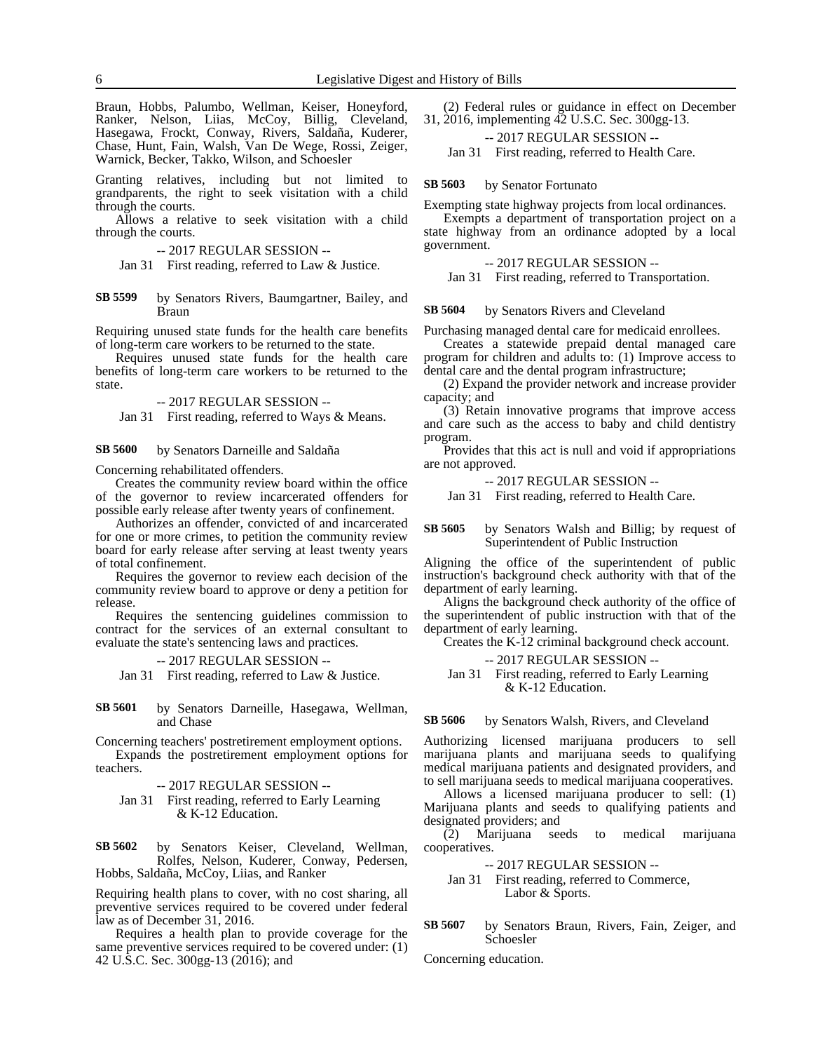Braun, Hobbs, Palumbo, Wellman, Keiser, Honeyford, Ranker, Nelson, Liias, McCoy, Billig, Cleveland, Hasegawa, Frockt, Conway, Rivers, Saldaña, Kuderer, Chase, Hunt, Fain, Walsh, Van De Wege, Rossi, Zeiger, Warnick, Becker, Takko, Wilson, and Schoesler

Granting relatives, including but not limited to grandparents, the right to seek visitation with a child through the courts.

Allows a relative to seek visitation with a child through the courts.

-- 2017 REGULAR SESSION --

Jan 31 First reading, referred to Law & Justice.

by Senators Rivers, Baumgartner, Bailey, and Braun **SB 5599**

Requiring unused state funds for the health care benefits of long-term care workers to be returned to the state.

Requires unused state funds for the health care benefits of long-term care workers to be returned to the state.

-- 2017 REGULAR SESSION --

Jan 31 First reading, referred to Ways & Means.

by Senators Darneille and Saldaña **SB 5600**

Concerning rehabilitated offenders.

Creates the community review board within the office of the governor to review incarcerated offenders for possible early release after twenty years of confinement.

Authorizes an offender, convicted of and incarcerated for one or more crimes, to petition the community review board for early release after serving at least twenty years of total confinement.

Requires the governor to review each decision of the community review board to approve or deny a petition for release.

Requires the sentencing guidelines commission to contract for the services of an external consultant to evaluate the state's sentencing laws and practices.

-- 2017 REGULAR SESSION --

Jan 31 First reading, referred to Law & Justice.

by Senators Darneille, Hasegawa, Wellman, and Chase **SB 5601**

Concerning teachers' postretirement employment options. Expands the postretirement employment options for

teachers.

-- 2017 REGULAR SESSION --

Jan 31 First reading, referred to Early Learning & K-12 Education.

by Senators Keiser, Cleveland, Wellman, Rolfes, Nelson, Kuderer, Conway, Pedersen, Hobbs, Saldaña, McCoy, Liias, and Ranker **SB 5602**

Requiring health plans to cover, with no cost sharing, all preventive services required to be covered under federal law as of December 31, 2016.

Requires a health plan to provide coverage for the same preventive services required to be covered under: (1) 42 U.S.C. Sec. 300gg-13 (2016); and

(2) Federal rules or guidance in effect on December 31, 2016, implementing 42 U.S.C. Sec. 300gg-13.

-- 2017 REGULAR SESSION --

Jan 31 First reading, referred to Health Care.

by Senator Fortunato **SB 5603**

Exempting state highway projects from local ordinances.

Exempts a department of transportation project on a state highway from an ordinance adopted by a local government.

-- 2017 REGULAR SESSION --

Jan 31 First reading, referred to Transportation.

by Senators Rivers and Cleveland **SB 5604**

Purchasing managed dental care for medicaid enrollees.

Creates a statewide prepaid dental managed care program for children and adults to: (1) Improve access to dental care and the dental program infrastructure;

(2) Expand the provider network and increase provider capacity; and

(3) Retain innovative programs that improve access and care such as the access to baby and child dentistry program.

Provides that this act is null and void if appropriations are not approved.

-- 2017 REGULAR SESSION --

Jan 31 First reading, referred to Health Care.

#### by Senators Walsh and Billig; by request of Superintendent of Public Instruction **SB 5605**

Aligning the office of the superintendent of public instruction's background check authority with that of the department of early learning.

Aligns the background check authority of the office of the superintendent of public instruction with that of the department of early learning.

Creates the K-12 criminal background check account.

-- 2017 REGULAR SESSION --

Jan 31 First reading, referred to Early Learning & K-12 Education.

#### by Senators Walsh, Rivers, and Cleveland **SB 5606**

Authorizing licensed marijuana producers to sell marijuana plants and marijuana seeds to qualifying medical marijuana patients and designated providers, and to sell marijuana seeds to medical marijuana cooperatives.

Allows a licensed marijuana producer to sell: (1) Marijuana plants and seeds to qualifying patients and designated providers; and

(2) Marijuana seeds to medical marijuana cooperatives.

-- 2017 REGULAR SESSION --

### Jan 31 First reading, referred to Commerce, Labor & Sports.

by Senators Braun, Rivers, Fain, Zeiger, and Schoesler **SB 5607**

Concerning education.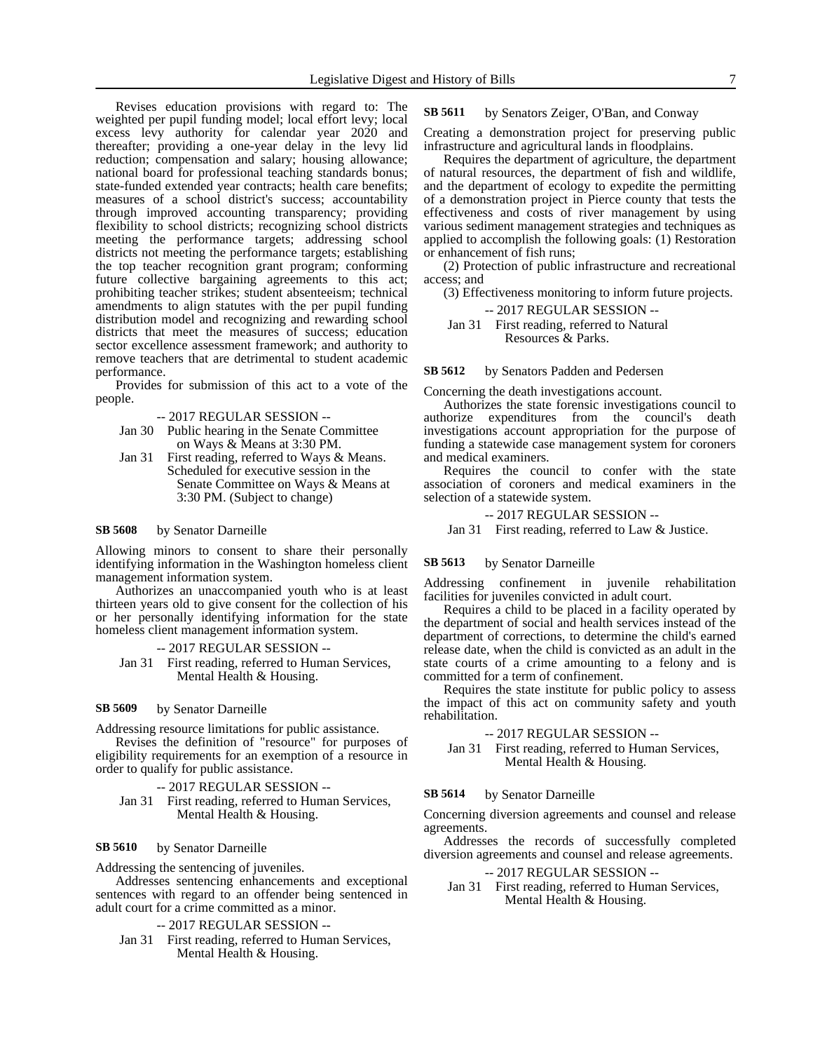Revises education provisions with regard to: The weighted per pupil funding model; local effort levy; local excess levy authority for calendar year 2020 and thereafter; providing a one-year delay in the levy lid reduction; compensation and salary; housing allowance; national board for professional teaching standards bonus; state-funded extended year contracts; health care benefits; measures of a school district's success; accountability through improved accounting transparency; providing flexibility to school districts; recognizing school districts meeting the performance targets; addressing school districts not meeting the performance targets; establishing the top teacher recognition grant program; conforming future collective bargaining agreements to this act; prohibiting teacher strikes; student absenteeism; technical amendments to align statutes with the per pupil funding distribution model and recognizing and rewarding school districts that meet the measures of success; education sector excellence assessment framework; and authority to remove teachers that are detrimental to student academic performance.

Provides for submission of this act to a vote of the people.

-- 2017 REGULAR SESSION --

- Jan 30 Public hearing in the Senate Committee on Ways & Means at 3:30 PM.
- Jan 31 First reading, referred to Ways & Means. Scheduled for executive session in the Senate Committee on Ways & Means at 3:30 PM. (Subject to change)

#### by Senator Darneille **SB 5608**

Allowing minors to consent to share their personally identifying information in the Washington homeless client management information system.

Authorizes an unaccompanied youth who is at least thirteen years old to give consent for the collection of his or her personally identifying information for the state homeless client management information system.

### -- 2017 REGULAR SESSION --

Jan 31 First reading, referred to Human Services, Mental Health & Housing.

#### by Senator Darneille **SB 5609**

Addressing resource limitations for public assistance.

Revises the definition of "resource" for purposes of eligibility requirements for an exemption of a resource in order to qualify for public assistance.

### -- 2017 REGULAR SESSION --

Jan 31 First reading, referred to Human Services, Mental Health & Housing.

#### by Senator Darneille **SB 5610**

Addressing the sentencing of juveniles.

Addresses sentencing enhancements and exceptional sentences with regard to an offender being sentenced in adult court for a crime committed as a minor.

### -- 2017 REGULAR SESSION --

Jan 31 First reading, referred to Human Services, Mental Health & Housing.

#### by Senators Zeiger, O'Ban, and Conway **SB 5611**

Creating a demonstration project for preserving public infrastructure and agricultural lands in floodplains.

Requires the department of agriculture, the department of natural resources, the department of fish and wildlife, and the department of ecology to expedite the permitting of a demonstration project in Pierce county that tests the effectiveness and costs of river management by using various sediment management strategies and techniques as applied to accomplish the following goals: (1) Restoration or enhancement of fish runs;

(2) Protection of public infrastructure and recreational access; and

(3) Effectiveness monitoring to inform future projects.

-- 2017 REGULAR SESSION --

### Jan 31 First reading, referred to Natural Resources & Parks.

by Senators Padden and Pedersen **SB 5612**

Concerning the death investigations account.

Authorizes the state forensic investigations council to authorize expenditures from the council's death investigations account appropriation for the purpose of funding a statewide case management system for coroners and medical examiners.

Requires the council to confer with the state association of coroners and medical examiners in the selection of a statewide system.

### -- 2017 REGULAR SESSION --

Jan 31 First reading, referred to Law & Justice.

#### by Senator Darneille **SB 5613**

Addressing confinement in juvenile rehabilitation facilities for juveniles convicted in adult court.

Requires a child to be placed in a facility operated by the department of social and health services instead of the department of corrections, to determine the child's earned release date, when the child is convicted as an adult in the state courts of a crime amounting to a felony and is committed for a term of confinement.

Requires the state institute for public policy to assess the impact of this act on community safety and youth rehabilitation.

### -- 2017 REGULAR SESSION --

Jan 31 First reading, referred to Human Services, Mental Health & Housing.

#### by Senator Darneille **SB 5614**

Concerning diversion agreements and counsel and release agreements.

Addresses the records of successfully completed diversion agreements and counsel and release agreements.

-- 2017 REGULAR SESSION --

Jan 31 First reading, referred to Human Services, Mental Health & Housing.